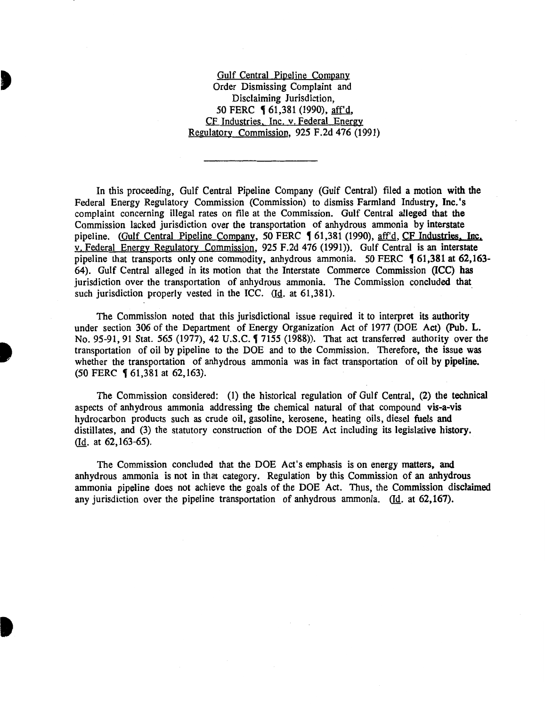Gulf Central Pipeline Company Order Dismissing Complaint and Disclaiming Jurisdiction, 50 FERC § 61,381 (1990), aff'd, CF Industries. Inc. v. Federal Energy Regulatory Commission, 925 F.2d 476 (1991)

In this proceeding, Gulf Central Pipeline Company (Gulf Central) filed a motion with the Federal Energy Regulatory Commission (Commission) to dismiss Farmland Industry, Inc.'s complaint concerning illegal rates on file at the Commission. Gulf Central alleged that the Commission lacked jurisdiction over the transportation of anhydrous ammonia by interstate pipeline. (Gulf Central Pipeline Company, 50 FERC 1 61,381 (1990), aff'd, CF Industries. Inc. v. Federal Energy Regulatory Commission, 925 F.2d 476 (1991)). Gulf Central is an interstate pipeline that transports only one commodity, anhydrous ammonia. 50 FERC 161,381 at 62.163-64). Gulf Central alleged in its motion that the Interstate Commerce Commission (ICC) has jurisdiction over the transportation of anhydrous ammonia. The Commission concluded that such jurisdiction properly vested in the ICC.  $(Id. at 61,381).$ 

The Commission noted that this jurisdictional issue required it to interpret its authority under section 306 of the Department of Energy Organization Act of 1977 (DOE Act) (Pub. L. No. 95-91, 91 Stat. 565 (1977), 42 U.S.C. 1 7155 (1988)). That act transferred authority over the transportation of oil by pipeline to the DOE and to the Commission. Therefore, the issue was whether the transportation of anhydrous ammonia was in fact transportation of oil by pipeline. (50 FERC 161,381 at 62,163).

The Commission considered: (1) the historical regulation of Gulf Central, (2) the technical aspects of anhydrous ammonia addressing the chemical natural of that compound vis-a-vis hydrocarbon products such as crude oil, gasoline, kerosene, heating oils, diesel fuels and distillates, and (3) the statutory construction of the DOE Act including its legislative history. (Id. at 62, 163-65).

The Commission concluded that the DOE Act's emphasis is on energy matters, and anhydrous ammonia is not in that category. Regulation by this Commission of an anhydrous ammonia pipeline does not achieve the goals of the DOE Act. Thus, the Commission disclaimed any jurisdiction over the pipeline transportation of anhydrous ammonia. (Id. at  $62, 167$ ).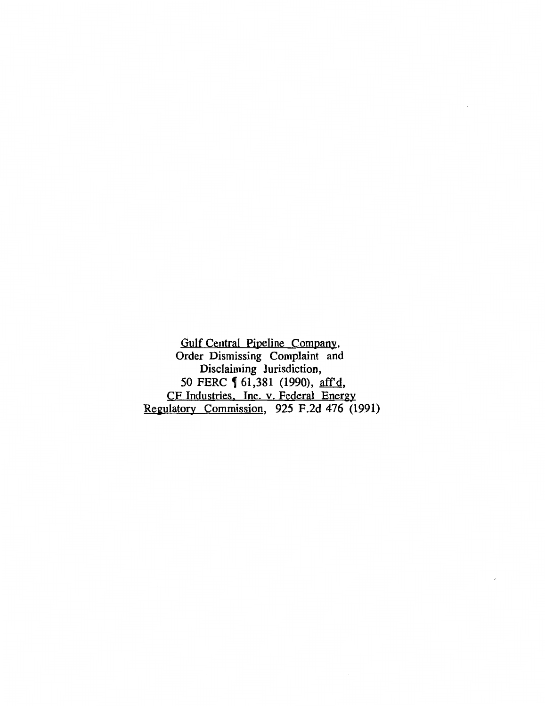Gulf Central Pipeline Company, Order Dismissing Complaint and Disclaiming Jurisdiction, 50 FERC **[** 61,381 (1990), aff'd, CF Industries. Inc. v. Federal Energy Regulatory Commission, 925 F.2d 476 (1991)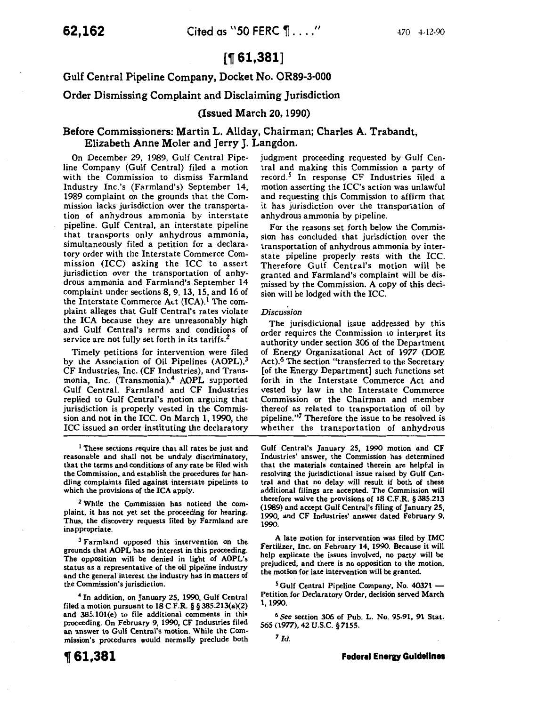# [~ **61,381]**

Gulf Central Pipeline Company, Docket No. OR89-3-000

## Order Dismissing Complaint and Disclaiming Jurisdiction

## (Issued March 20, 1990)

## Before Commissioners: Martin L. Allday, Chairman; Charles A. Trabandt, Elizabeth Anne Moler and Jerry 1. Langdon.

On December 29, 1989, Gulf Central Pipeline Company (Gulf Central) filed a motion with the Commission to dismiss Farmland Industry Inc.'s (Farmland's) September 14, 1989 complaint on the grounds that the Commission lacks jurisdiction over the transportation of anhydrous ammonia by interstate pipeline. Gulf Central, an interstate pipeline that transports only anhydrous ammonia, simultaneously filed a petition for a declaratory order with the Interstate Commerce Commission (ICC) asking the ICC to assert jurisdiction over the transportation of anhydrous ammonia and Farmland's September 14 complaint under sections 8, 9, 13, 15, and 16 of the Interstate Commerce Act  $(ICA).<sup>1</sup>$  The complaint alleges that Gulf Central's rates violate the ICA because they are unreasonably high and Gulf Central's terms and conditions of service are not fully set forth in its tariffs.<sup>2</sup>

Timely petitions for intervention were filed by the Association of Oil Pipelines (AOPL),<sup>3</sup> CF Industries, Inc. (CF Industries), and Transmonia, Inc. (Transmonia).<sup>4</sup> AOPL supported Gulf Central. Farmland and CF Industries replied to Gulf Central's motion arguing that jurisdiction is properly vested in the Commission and not in the ICC. On March 1, 1990, the ICC issued an order instituting the declaratory

<sup>1</sup> These sections require that all rates be just and reasonable and shall not be unduly discriminatory, that the terms and conditions of any rate be filed with the Commission, and establish the procedures for handling complaints filed against interstate pipelines to which the provisions of the ICA apply.

2 While the Commission has noticed the complaint, it has not yet set the proceeding for hearing. Thus, the discovery requests filed by Farmland are inappropriate.

 $<sup>3</sup>$  Farmland opposed this intervention on the</sup> grounds that AOPL has no interest in this proceeding. The opposition will be denied in light of AOPL's status as a representative of the oil pipeline industry and the general interest the industry has in matters of the Commission's jurisdiction.

4 In addition, on January 25, 1990, Gulf Central filed a motion pursuant to 18 C.F.R. § § 385.213(a)(2) and 385.101(e) to file additional comments in this proceeding. On February 9, 1990, CF Industries filed an answer to Gulf Central's motion. While the Commission's procedures would normally preclude both judgment proceeding requested by Gulf Central and making this Commission a party of record.<sup>5</sup> In response CF Industries filed a motion asserting the ICC's action was unlawful and requesting this Commission to affirm that it has jurisdiction over the transportation of anhydrous ammonia by pipeline.

For the reasons set forth below the Commission has concluded that jurisdiction over the transportation of anhydrous ammonia by interstate pipeline properly rests with the ICC. Therefore Gulf Central's motion will be granted and Farmland's complaint will be dismissed by the Commission. A copy of this decision will be lodged with the ICC.

### *Discussion*

The jurisdictional issue addressed by this order requires the Commission to interpret its authority under section 306 of the Department of Energy Organizational Act of 1977 (DOE Act).<sup>6</sup> The section "transferred to the Secretary [of the Energy Department] such functions set forth in the Interstate Commerce Act and vested by law in the Interstate Commerce Commission or the Chairman and member thereof as related to transportation of oil by pipeline."7 Therefore the issue to be resolved is whether the transportation of anhydrous

Gulf Central's January 25, 1990 motion and CF Industries' answer, the Commission has determined that the materials contained therein are helpful in resolving the jurisdictional issue raised by Gulf Central and that no delay will result if both of these additional filings are accepted. The Commission will therefore waive the provisions of 18 C.F.R. § 385.213 (1989) and accept Gulf Central's filing of January 25, 1990, and CF Industries' answer dated February 9, 1990.

A late motion for intervention was filed by IMC Fertilizer, Inc. on February 14, 1990. Because it will help explicate the issues involved, no party will be prejudiced, and there is no opposition to the motion, the motion for late intervention will be granted.

 $5$  Gulf Central Pipeline Company, No. 40371  $-$ Petition for Declaratory Order, decision served March 1, 1990.

<sup>6</sup>*See* section 306 of Pub. L. No. 95-91, 91 Stat. 565 (1977), 42 u.s.c. § 7155.

*7 Id.*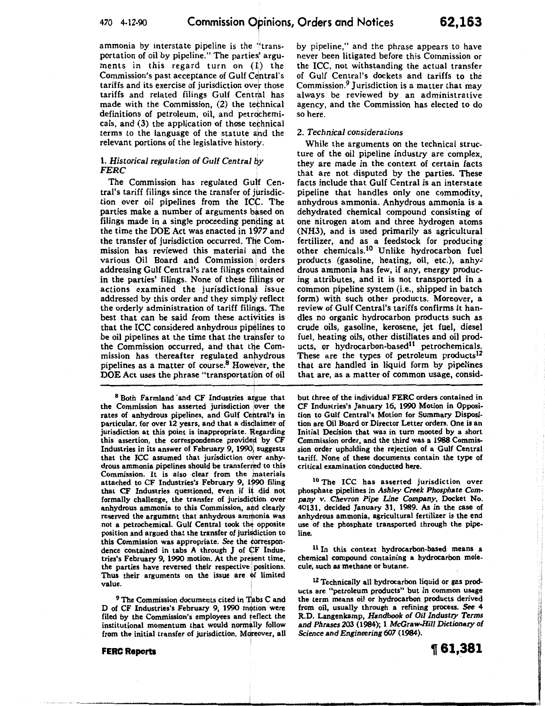ammonia by interstate pipeline is the ''transportation of oil by pipeline." The parties' arguments in this regard turn on  $(1)$  the Commission's past acceptance of Gulf Central's tariffs and its exercise of jurisdiction over those tariffs and related filings Gulf Central has made with the Commission,  $(2)$  the technical definitions of petroleum, oil, and petrochemicals, and (3) the application of those tefhnical terms to the language of the statute and the relevant portions of the legislative history.

## 1. *Historical regulation of Gulf Central by FERC*

The Commission has regulated Gulf Central's tariff filings since the transfer of jurisdiction over oil pipelines from the ICC. The parties make a number of arguments based on filings made in a single proceeding pending at the time the DOE Act was enacted in 1977 and the transfer of jurisdiction occurred. The Commission has reviewed this material and the various Oil Board and Commission orders addressing Gulf Central's rate filings cohtained in the parties' filings. None of these filings or actions examined the jurisdictional issue addressed by this order and they simply reflect the orderly administration of tariff filings. The best that can be said from these activities is that the ICC considered anhydrous pipelines to be oil pipelines at the time that the transfer to the Commission occurred, and that the Commission has thereafter regulated antydrous pipelines as a matter of course. $8$  However, the DOE Act uses the phrase "transportation of oil

<sup>8</sup> Both Farmland and CF Industries argue that the Commission has asserted jurisdiction over the rates of anhydrous pipelines, and Gulf Central's in particular, for over 12 years, and that a discjlaimer of jurisdiction at this point is inappropriate. Regarding this assertion, the correspondence provided by CF Industries in its answer of February 9, 1990, suggests that the ICC assumed that jurisdiction over anhydrous ammonia pipelines should be transferred to this Commission. It is also clear from the materials attached to CF Industries's February 9, 1990 filing that CF Industries questioned, even if it did not formally challenge, the transfer of jurisdiction over anhydrous ammonia to this Commission, and clearly reserved the argument that anhydrous ammonia was not a petrochemical. Gulf Central took th¢ opposite position and argued that the transfer of jurisdiction to this Commission was appropriate. See the correspondence contained in tabs A through *J* of CF Industries's February 9, 1990 motion. At the present time the parties have reversed their respective positions. Thus their arguments on the issue are of limited value.

<sup>9</sup> The Commission documents cited in Tabs C and D of CF Industries's February 9, 1990 motion were filed by the Commission's employees and reflect the institutional momentum that would normally follow from the initial transfer of jurisdiction. Moreover, all

**FERC Reports** 

by pipeline," and the phrase appears to have never been litigated before this Commission or the ICC, not withstanding the actual transfer of Gulf Central's dockets and tariffs to the Commission.<sup>9</sup> Jurisdiction is a matter that may always be reviewed by an administrative agency, and the Commission has elected to do so here.

## 2. *Technical considerations*

While the arguments on the technical structure of the oil pipeline industry are complex, they are made in the context of certain facts that are not disputed by the parties. These facts include that Gulf Central is an interstate pipeline that handles only one commodity, anhydrous ammonia. Anhydrous ammonia is a dehydrated chemical compound consisting of one nitrogen atom and three hydrogen atoms (NH3), and is used primarily as agricultural fertilizer, and as a feedstock for producing other chemicals.10 Unlike hydrocarbon fuel products (gasoline, heating, oil, etc.), anhydrous ammonia has few, if any, energy producing attributes, and it is not transported in a common pipeline system (i.e., shipped in batch form) with such other products. Moreover, a review of Gulf Central's tariffs confirms it handles no organic hydrocarbon products such as crude oils, gasoline, kerosene, jet fuel, diesel fuel, heating oils, other distillates and oil products, or hydrocarbon-based<sup>11</sup> petrochemicals. These are the types of petroleum products<sup>12</sup> that are handled in liquid form by pipelines that are, as a matter of common usage, consid-

but three of the individual FERC orders contained in CF Industries's January 16, 1990 Motion in Opposition to Gulf Central's Motion for Summary Disposition are Oil Board or Director Letter orders. One is an Initial Decision that was in tum mooted by a short Commission order, and the third was a 1988 Commission order upholding the rejection of a Gulf Central tariff. None of these documents contain the type of critical examination conducted here.

<sup>10</sup> The ICC has asserted jurisdiction over phosphate pipelines in *Ashley Creek Phosphate* Company *v. Chevron Pipe Line* Company, Docket No. 40131, decided January 31, 1989. As in the case of anhydrous ammonia, agricultural fertilizer is the end use of the phosphate transported through the pipeline.

<sup>11</sup> In this context hydrocarbon-based means a chemical compound containing a hydrocarbon molecule, such as methane or butane.

<sup>12</sup> Technically all hydrocarbon liquid or gas products are "petroleum products" but in common usage the term means oil or hydrocarbon products derived from oil, usually through a refining process. See 4 R.D. Langenkamp, *Handbook of Oil Industry Terms*  and *Phrases* 203 (1984); 1 *McGraw-Hill Dictionary of*  Science and *Engineering607* (1984).

~ **61,381** 

(コンクルバルクスクジェンチ)や「神経の風景の音を見るのか、その後の時代を見るときを表現する場合の意味を見る。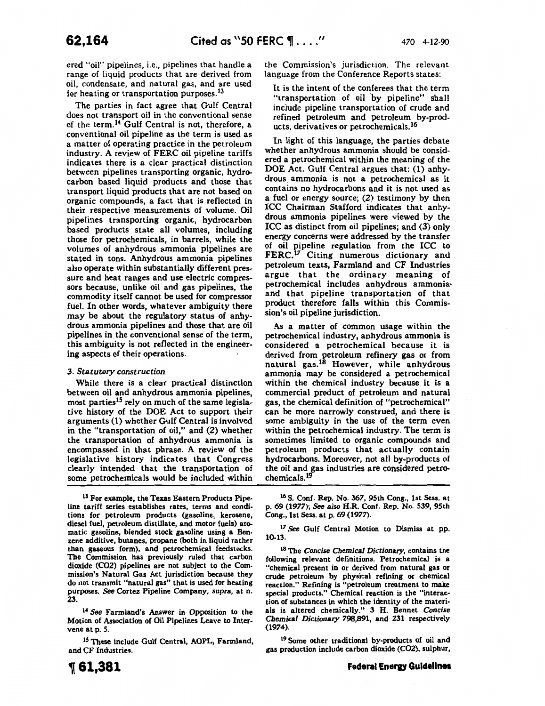ered "oil" pipelines, i.e., pipelines that handle a range of liquid products that are derived from oil, condensate, and natural gas, and are used for heating or transportation purposes.<sup>13</sup>

The parties in fact agree that Gulf Central does not transport oil in the conventional sense of the term.<sup>14</sup> Gulf Central is not, therefore, a conventional oil pipeline as the term is used as a matter of operating practice in the petroleum industry. A review of FERC oil pipeline tariffs indicates there is a clear practical distinction between pipelines transporting organic, hydrocarbon based liquid products and those that transport liquid products that are not based on organic compounds, a fact that is reflected in their respective measurements of volume. Oil pipelines transporting organic, hydrocarbon based products state all volumes, including those for petrochemicals, in barrels, while the volumes of anhydrous ammonia pipelines are stated in tons. Anhydrous ammonia pipelines also operate within substantially different pressure and heat ranges and use electric compressors because, unlike oil and gas pipelines, the commodity itself cannot be used for compressor fuel. In other words, whatever ambiguity there may be about the regulatory status of anhydrous ammonia pipelines and those that are oil pipelines in the conventional sense of the term, this ambiguity is not reflected in the engineering aspects of their operations.

### 3. *Statutory construction*

While there is a clear practical distinction between oil and anhydrous ammonia pipelines, most parties<sup>15</sup> rely on much of the same legislative history of the DOE Act to support their arguments (1) whether Gulf Central is involved in the "transportation of oil," and (2) whether the transportation of anhydrous ammonia is encompassed in that phrase. A review of the legislative history indicates that Congress clearly intended that the transportation of some petrochemicals would be included within

<sup>13</sup> For example, the Texas Eastern Products Pipeline tariff series establishes rates, terms and conditions for petroleum products (gasoline, kerosene, diesel fuel, petroleum distillate, and motor fuels) aromatic gasoline, blended stock gasoline using a Benzene additive, butanes, propane (both in liquid rather than gaseous form), and petrochemical feedstocks. The Commission has previously ruled that carbon dioxide (C02) pipelines are not subject to the Commission's Natural Gas Act jurisdiction because they do not transmit "natural gas" that is used for heating purposes. *See* Cortez Pipeline Company, *supra,* at n. 23.

14 See Farmland's Answer in Opposition to the Motion of Association of Oil Pipelines Leave to Inter· vene at p. 5.

<sup>15</sup> These include Gulf Central, AOPL, Farmland, and CF Industries.

the Commission's jurisdiction. The relevant language from the Conference Reports states:

It is the intent of the conferees that the term "transportation of oil by pipeline" shall include pipeline transportation of crude and refined petroleum and petroleum by-products, derivatives or petrochemicals.I6

In light of this language, the parties debate whether anhydrous ammonia should be considered a petrochemical within the meaning of the DOE Act. Gulf Central argues that: (1) anhydrous ammonia is not a petrochemical as it contains no hydrocarbons and it is not used as a fuel or energy source; (2) testimony by then ICC Chairman Stafford indicates that anhydrous ammonia pipelines were viewed by the ICC as distinct from oil pipelines; and (3) only energy concerns were addressed by the transfer of oil pipeline regulation from the ICC to FERC.<sup>17</sup> Citing numerous dictionary and petroleum texts, Farmland and CF Industries argue that the ordinary meaning of petrochemical includes anhydrous ammonia· and that pipeline transportation of that product therefore falls within this Commission's oil pipeline jurisdiction.

As a matter of common usage within the petrochemical industry, anhydrous ammonia is considered a petrochemical because it is derived from petroleum refinery gas or from natural gas. 18 However, while anhydrous ammonia may be considered a petrochemical within the chemical industry because it is a commercial product of petroleum and natural gas, the chemical definition of "petrochemical" can be more narrowly construed, and there is some ambiguity in the use of the term even within the petrochemical industry. The term is sometimes limited to organic compounds and petroleum products that actually contain hydrocarbons. Moreover, not all by-products of the oil and gas industries are considered petrochemicals.19

16 S. Conf. Rep. No. *367,* 95th Cong., 1st Sess. at p. 69 (1977); *See also* H.R. Conf. Rep. No. 539, 95th Cong., 1st Sess. at p. 69 (1977).

<sup>17</sup> See Gulf Central Motion to Dismiss at pp. 10.13.

18 The *Concise Chemical Dictionary,* contains the following relevant definitions. Petrochemical is a "chemical present in or derived from natural gas or crude petroleum by physical refining or chemical reaction." Refining is "petroleum treatment to make special products." Chemical reaction is the "interaction of substances in which the identity of the materials is altered chemically." 3 H. Bennet *Concise Chemical Dictionary* 798,891, and 231 respectively (1974).

19 Some other traditional by-products of oil and gas production include carbon dioxide (C02), sulphur,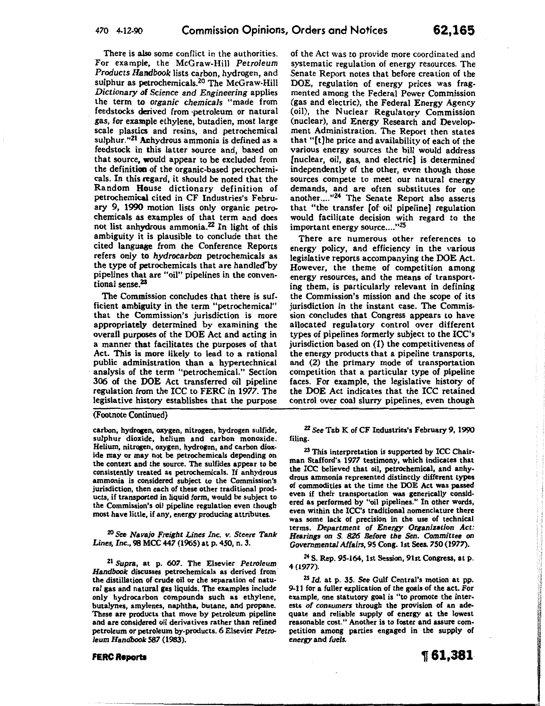There is also some conflict in the authorities. For example, the McGraw-Hill *Petroleum Products Handbook* lists carbon, hydrogen, and sulphur as petrochemicals.<sup>20</sup> The McGraw-Hill *Dictionary of Science and Engineering* applies the term to *organic chemicals* "made from feedstocks derived from ·petroleum or natural gas, for example ethylene, butadien, most large scale plastics and resins, and petrochemical sulphur."<sup>21</sup> Anhydrous ammonia is defined as a feedstock in this latter source and, based on that source, would appear to be excluded from the definition of the organic-based petrochemi· cals. In this regard, it should be noted that the Random House dictionary definition of petrochemical cited in CF Industries's Febru· ary 9, 1990 motion lists only organic petrochemicals as examples of that term and does not list anhydrous ammonia.<sup>22</sup> In light of this ambiguity it is plausible to conclude that the cited language from the Conference Reports refers only to *hydrocarbon* petrochemicals as the type of petrochemicals that are handled by pipelines that are "oil" pipelines in the conventional sense.23

The Commission concludes that there is sufficient ambiguity in the term "petrochemical" that the Commission's jurisdiction is more appropriately determined by examining the overall purposes of the DOE Act and acting in a manner that facilitates the purposes of that Act. This is more likely to lead to a rational public administration than a hypertechnical analysis of the term "petrochemical." Section 306 of the DOE Act transferred oil pipeline regulation from the ICC to FERC in 1977. The legislative history establishes that the purpose

(Footnote Continued)

carbon, hydrogen, oxygen, nitrogen, hydrogen sulfide, sulphur dioxide, helium and carbon monoxide. Helium, nitrogen, oxygen, hydrogen, and carbon dioxide may or may not be petrochemicals depending on the context and the source. The sulfides appear to be consistently treated as petrochemicals. If anhydrous ammonia is considered subject to the Commission's jurisdiction, then each of these other traditional prod· ucts, if transported in liquid form, would be subject to the Commission's oil pipeline regulation even though most have little, if any, energy producing attributes.

zo *See Navajo Freight Lines Inc. v. Steere Tank Lines, Inc.,* 98 MCC 447 (1965) at p. 450, n. 3.

<sup>21</sup>*Supra,* at p. 607. The Elsevier *Petroleum Handbook* discusses petrochemicals as derived from· the distillation of crude oil or the separation of natural gas and natural gas liquids. The examples include only hydrocarbon compounds such as ethylene, butalynes, amylenes, naphtha, butane, and propane. These are products that move by petroleum pipeline and are considered oil derivatives rather than refined petroleum or petroleum by-products. 6 Elsevier Petro*leum Handbook 587* (1983).

of the Act was to provide more coordinated and systematic regulation of energy resources. The Senate Report notes that before creation of the DOE, regulation of energy prices was fragmented among the Federal Power Commission (gas and electric), the Federal Energy Agency (oil), the Nuclear Regulatory Commission (nuclear), and Energy Research and Development Administration. The Report then states that "[t]he price and availability of each of the various energy sources the bill would address [nuclear, oil, gas, and electric] is determined independently of the other, even though those sources compete to meet our natural energy demands, and are often substitutes for one another...."<sup>24</sup> The Senate Report also asserts that "the transfer [of oil pipeline] regulation would facilitate decision with regard to the important energy source...."<sup>25</sup>

There are numerous other references to energy policy, and efficiency in the various legislative reports accompanying the DOE Act. However, the theme of competition among energy resources, and the means of transporting them, is particularly relevant in defining the Commission's mission and the scope of its jurisdiction in the instant case. The Commission concludes that Congress appears to have allocated regulatory control over different types of pipelines formerly subject to the ICC's jurisdiction based on (1) the competitiveness of the energy products that a pipeline transports, and (2) the primary mode of transportation competition that a particular type of pipeline faces. For example, the legislative history of the DOE Act indicates that the ICC retained control over coal slurry pipelines, even though

22 *See* Tab K of CF Industries's February 9, 1990 filing.

23 This interpretation is supported by ICC Chair· man Stafford's 1977 testimony, which indicates that the ICC believed that oil, petrochemical, and anhydrous ammonia represented distinctly different types of commodities at the time the DOE Act was passed even if their transportation was generically considered as performed by "oil pipelines." In other words, even within the ICC's traditional nomenclature there was some lack of precision in the use of technical terms. *Department of Energy Organization Act: Hearings on S. 826 Before the Sen. Committee on Governmental Mfairs,* 95 Cong. 1st Sees. 750 (1977).

Z4 S. Rep. 95-164, 1st Session, 91st Congress, at p. 4 (1977).

ZS *Id.* at p. 35. See Gulf Central's motion at pp. 9-11 for a fuller explication of the goals of the act. For example, one statutory goal is "to promote the interests *of consumers* through the provision of an adequate and reliable supply of energy at the lowest reasonable cost." Another is to foster and assure com· petition among parties engaged in the supply of *energy* and *fuels.* 

#### **FERC Reports**

「STATES」ということに、このことは、このことは、「STATES」ということには、「STATES」ということに、「STATES」ということに、「STATES」ということに、「STATES」というこ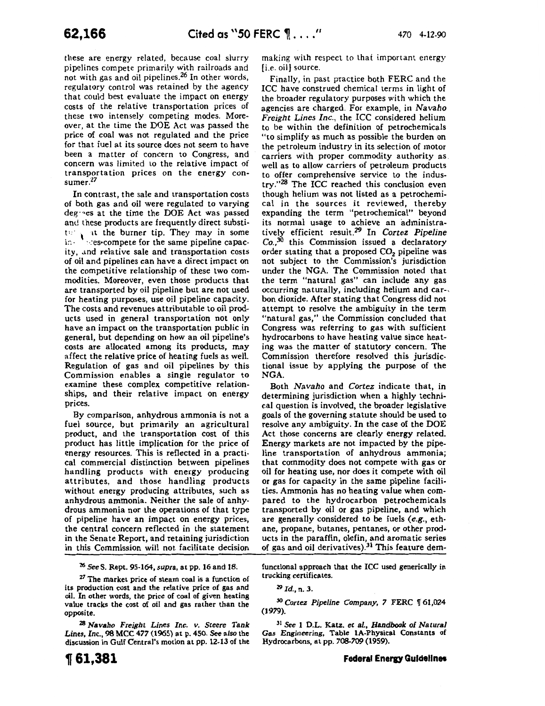these are energy related, because coal slurry pipelines compete primarily with railroads and not with gas and oil pipelines.26 In other words, regulatory control was retained by the agency that could best evaluate the impact on energy costs of the relative transportation prices of these two intensely competing modes. Moreover, at the time the DOE Act was passed the price of coal was not regulated and the price for that fuel at its source does not seem to have been a matter of concern to Congress, and concern was limited to the relative impact of transportation prices on the energy consumer.<sup>27</sup>

In contrast, the sale and transportation costs of both gas and oil were regulated to varying deg-~es at the time the DOE Act was passed and these products are frequently direct substito  $\cdot$  at the burner tip. They may in some in  $\cdot$  's res-compete for the same pipeline capacity, and relative sale and transportation costs of oil and pipelines can have a direct impact on the competitive relationship of these two commodities. Moreover, even those products that are transported by oil pipeline but are not used for heating purposes, use oil pipeline capacity. The costs and revenues attributable to oil products used in general transportation not only have an impact on the transportation public in general, but depending on how an oil pipeline's costs are allocated among its products, may affect the relative price of heating fuels as well. Regulation of gas and oil pipelines by this Commission enables a single regulator to examine these complex competitive relationships, and their relative impact on energy prices.

By comparison, anhydrous ammonia is not a fuel source, but primarily an agricultural product, and the transportation cost of this product has little implication for the price of energy resources. This is reflected in a practical commercial distinction between pipelines handling products with energy producing attributes, and those handling products without energy producing attributes, such as anhydrous ammonia. Neither the sale of anhydrous ammonia nor the operations of that type of pipeline have an impact on energy prices, the central concern reflected in the statement in the Senate Report, and retaining jurisdiction in this Commission will not facilitate decision

<sup>26</sup>*SeeS.* Rept. 95-164, *supra,* at pp. 16 and 18.

27 The market price of steam coal is a function of its production cost and the relative price of gas and oil. In other words, the price of coal of given heating value tracks the cost of oil and gas rather than the opposite.

28 *Navaho Freight Lines Inc. v. Steere Tank Lines,* Inc., 98 MCC 477 (1965) at p. 450. See *also* the discussion in Gulf Central's motion at pp. 12-13 of the making with respect to that important energy [i.e. oil] source.

Finally, in past practice both FERC and the ICC have construed chemical terms in light of the broader regulatory purposes with which the agencies are charged. For example, in *Navaho Freight Lines Inc.,* the ICC considered helium to be within the definition of petrochemicals "to simplify as much as possible the burden on the petroleum industry in its selection of motor carriers with proper commodity authority as. well as to allow carriers of petroleum products to offer comprehensive service to the industry."28 The ICC reached this conclusion even though helium was not listed as a petrochemical in the sources it reviewed, thereby expanding the term "petrochemical" beyond its normal usage to achieve an administratively efficient result.29 In *Cortez Pipeline*   $Co<sub>1</sub>$ <sup>30</sup> this Commission issued a declaratory order stating that a proposed  $CO<sub>2</sub>$  pipeline was not subject to the Commission's jurisdiction under the NGA. The Commission noted that the term "natural gas" can include any gas occurring naturally, including helium and car-, bon dioxide. After stating that Congress did not attempt to resolve the ambiguity in the term "natural gas," the Commission concluded that Congress was referring to gas with sufficient hydrocarbons to have heating value since heating was the matter of statutory concern. The Commission therefore resolved this jurisdictional issue by applying the purpose of the NGA.

Both *Navaho* and *Cortez* indicate that, in determining jurisdiction when a highly technical question is involved, the broader legislative goals of the governing statute should be used to resolve any ambiguity. In the case of the DOE Act those concerns are clearly energy related. Energy markets are not impacted by the pipeline transportation of anhydrous ammonia; that commodity does not compete with gas or oil for heating use, nor does it compete with oil or gas for capacity in the same pipeline facilities. Ammonia has no heating value when compared to the hydrocarbon petrochemicals transported by oil or gas pipeline, and which are generally considered to be fuels (e.g., ethane, propane, butanes, pentanes, or other products in the paraffin, olefin, and aromatic series of gas and oil derivatives).<sup>31</sup> This feature dem-

functional approach that the ICC used generically in trucking certificates.

<sup>30</sup> Cortez Pipeline Company, 7 FERC 161,024 (1979).

3l *See* 1 D.L. Katz. *et al., Handbook of Natural*  Gas Engineering, Table 1A-Physical Constants of Hydrocarbons, at pp. *708-709* (1959).

<sup>29</sup>*Id.,* n. 3.